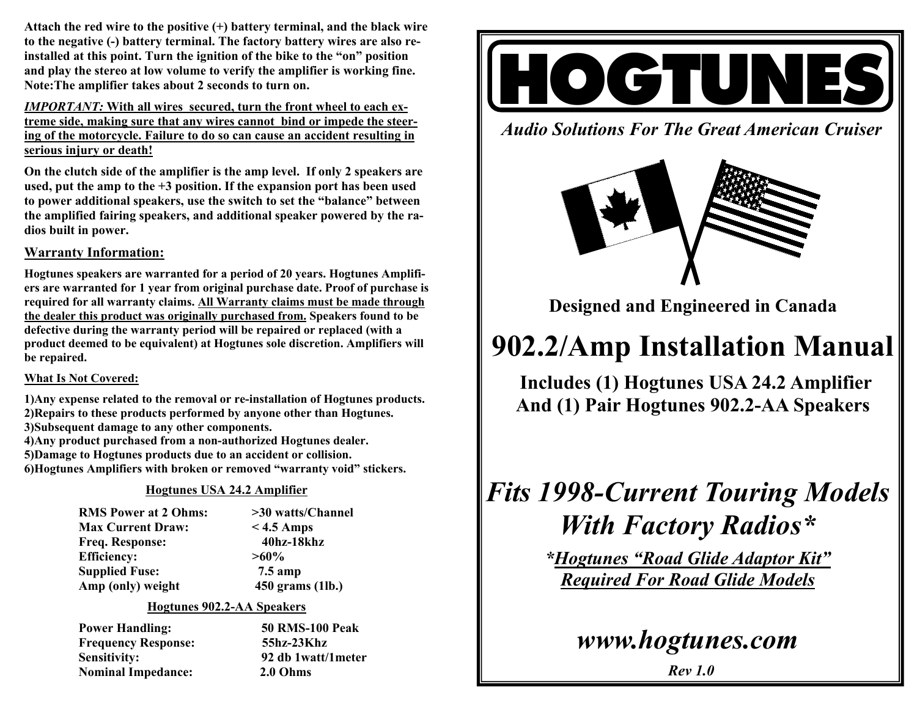**Attach the red wire to the positive (+) battery terminal, and the black wire to the negative (-) battery terminal. The factory battery wires are also reinstalled at this point. Turn the ignition of the bike to the "on" position and play the stereo at low volume to verify the amplifier is working fine. Note:The amplifier takes about 2 seconds to turn on.** 

*IMPORTANT:* **With all wires secured, turn the front wheel to each extreme side, making sure that any wires cannot bind or impede the steering of the motorcycle. Failure to do so can cause an accident resulting in serious injury or death!**

**On the clutch side of the amplifier is the amp level. If only 2 speakers are used, put the amp to the +3 position. If the expansion port has been used to power additional speakers, use the switch to set the "balance" between the amplified fairing speakers, and additional speaker powered by the radios built in power.** 

### **Warranty Information:**

**Hogtunes speakers are warranted for a period of 20 years. Hogtunes Amplifiers are warranted for 1 year from original purchase date. Proof of purchase is required for all warranty claims. All Warranty claims must be made through the dealer this product was originally purchased from. Speakers found to be defective during the warranty period will be repaired or replaced (with a product deemed to be equivalent) at Hogtunes sole discretion. Amplifiers will be repaired.** 

### **What Is Not Covered:**

**1)Any expense related to the removal or re-installation of Hogtunes products. 2)Repairs to these products performed by anyone other than Hogtunes.** 

- **3)Subsequent damage to any other components.**
- **4)Any product purchased from a non-authorized Hogtunes dealer.**
- **5)Damage to Hogtunes products due to an accident or collision.**
- **6)Hogtunes Amplifiers with broken or removed "warranty void" stickers.**

### **Hogtunes USA 24.2 Amplifier**

| <b>RMS Power at 2 Ohms:</b> |  |
|-----------------------------|--|
| <b>Max Current Draw:</b>    |  |
| <b>Freq. Response:</b>      |  |
| <b>Efficiency:</b>          |  |
| <b>Supplied Fuse:</b>       |  |
| Amp (only) weight           |  |

 $>$ 30 watts/Channel  $<$  4.5 Amps  **Freq. Response: 40hz-18khz**   $>60\%$ **7.5 amp 450 grams (1lb.)** 

### **Hogtunes 902.2-AA Speakers**

 **Power Handling: 50 RMS-100 Peak Frequency Response: 55hz-23Khz Sensitivity: 92 db 1watt/1meter Nominal Impedance: 2.0 Ohms** 



*Audio Solutions For The Great American Cruiser* 



**Designed and Engineered in Canada** 

# **902.2/Amp Installation Manual**

**Includes (1) Hogtunes USA 24.2 Amplifier And (1) Pair Hogtunes 902.2-AA Speakers** 

## *Fits 1998-Current Touring Models With Factory Radios\**

*\*Hogtunes "Road Glide Adaptor Kit" Required For Road Glide Models*

*www.hogtunes.com* 

*Rev 1.0*